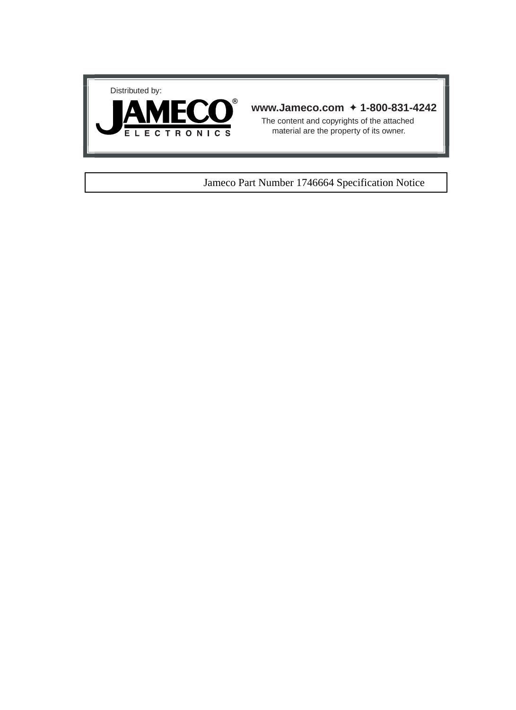



## **www.Jameco.com** ✦ **1-800-831-4242**

The content and copyrights of the attached material are the property of its owner.

## Jameco Part Number 1746664 Specification Notice